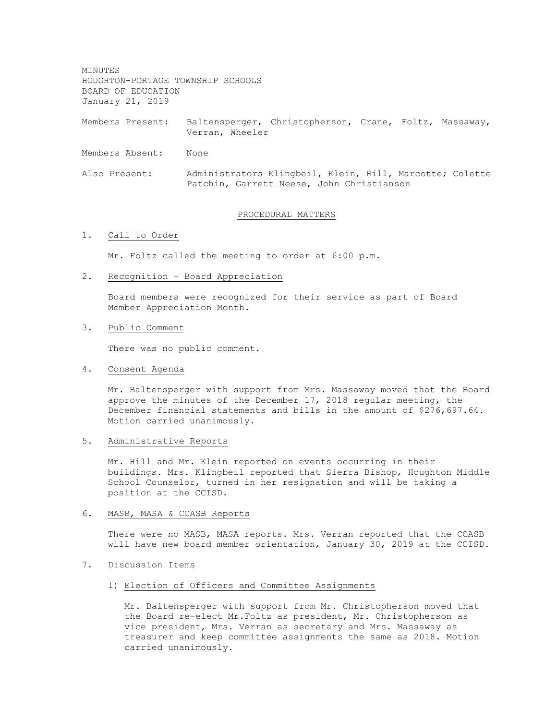MINUTES HOUGHTON-PORTAGE TOWNSHIP SCHOOLS BOARD OF EDUCATION January 21, 2019

Members Present: Baltensperger, Christopherson, Crane, Foltz, Massaway, Verran, Wheeler

Members Absent: None

Also Present: Administrators Klingbeil, Klein, Hill, Marcotte; Colette Patchin, Garrett Neese, John Christianson

## PROCEDURAL MATTERS

# 1. Call to Order

Mr. Foltz called the meeting to order at 6:00 p.m.

2. Recognition – Board Appreciation

Board members were recognized for their service as part of Board Member Appreciation Month.

3. Public Comment

There was no public comment.

4. Consent Agenda

Mr. Baltensperger with support from Mrs. Massaway moved that the Board approve the minutes of the December 17, 2018 regular meeting, the December financial statements and bills in the amount of \$276,697.64. Motion carried unanimously.

5. Administrative Reports

Mr. Hill and Mr. Klein reported on events occurring in their buildings. Mrs. Klingbeil reported that Sierra Bishop, Houghton Middle School Counselor, turned in her resignation and will be taking a position at the CCISD.

### 6. MASB, MASA & CCASB Reports

There were no MASB, MASA reports. Mrs. Verran reported that the CCASB will have new board member orientation, January 30, 2019 at the CCISD.

7. Discussion Items

### 1) Election of Officers and Committee Assignments

Mr. Baltensperger with support from Mr. Christopherson moved that the Board re-elect Mr.Foltz as president, Mr. Christopherson as vice president, Mrs. Verran as secretary and Mrs. Massaway as treasurer and keep committee assignments the same as 2018. Motion carried unanimously.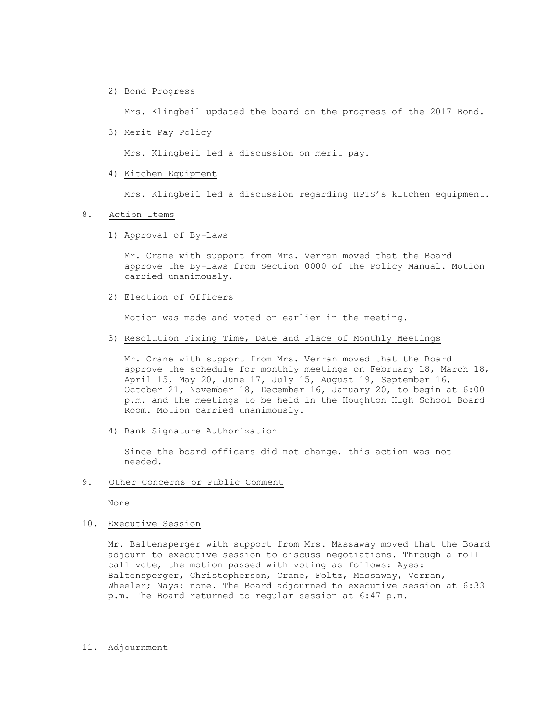2) Bond Progress

Mrs. Klingbeil updated the board on the progress of the 2017 Bond.

3) Merit Pay Policy

Mrs. Klingbeil led a discussion on merit pay.

4) Kitchen Equipment

Mrs. Klingbeil led a discussion regarding HPTS's kitchen equipment.

### 8. Action Items

# 1) Approval of By-Laws

Mr. Crane with support from Mrs. Verran moved that the Board approve the By-Laws from Section 0000 of the Policy Manual. Motion carried unanimously.

2) Election of Officers

Motion was made and voted on earlier in the meeting.

3) Resolution Fixing Time, Date and Place of Monthly Meetings

Mr. Crane with support from Mrs. Verran moved that the Board approve the schedule for monthly meetings on February 18, March 18, April 15, May 20, June 17, July 15, August 19, September 16, October 21, November 18, December 16, January 20, to begin at 6:00 p.m. and the meetings to be held in the Houghton High School Board Room. Motion carried unanimously.

4) Bank Signature Authorization

Since the board officers did not change, this action was not needed.

9. Other Concerns or Public Comment

None

10. Executive Session

Mr. Baltensperger with support from Mrs. Massaway moved that the Board adjourn to executive session to discuss negotiations. Through a roll call vote, the motion passed with voting as follows: Ayes: Baltensperger, Christopherson, Crane, Foltz, Massaway, Verran, Wheeler; Nays: none. The Board adjourned to executive session at 6:33 p.m. The Board returned to regular session at 6:47 p.m.

11. Adjournment